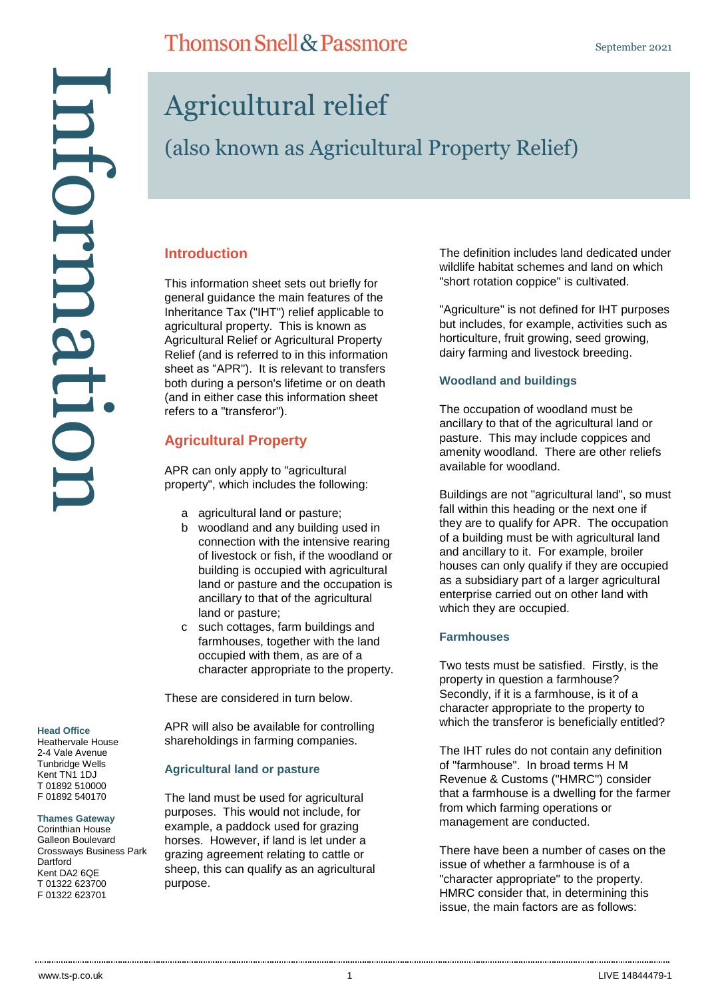#### **Head Office**

Heathervale House 2-4 Vale Avenue Tunbridge Wells Kent TN1 1DJ T 01892 510000 F 01892 540170

**Thames Gateway**

Corinthian House Galleon Boulevard Crossways Business Park Dartford Kent DA2 6QE T 01322 623700

# Agricultural relief

**Thomson Snell & Passmore** 

# (also known as Agricultural Property Relief)

### **Introduction**

This information sheet sets out briefly for general guidance the main features of the Inheritance Tax ("IHT") relief applicable to agricultural property. This is known as Agricultural Relief or Agricultural Property Relief (and is referred to in this information sheet as "APR"). It is relevant to transfers both during a person's lifetime or on death (and in either case this information sheet refers to a "transferor").

### **Agricultural Property**

APR can only apply to "agricultural property", which includes the following:

- a agricultural land or pasture;
- b woodland and any building used in connection with the intensive rearing of livestock or fish, if the woodland or building is occupied with agricultural land or pasture and the occupation is ancillary to that of the agricultural land or pasture;
- c such cottages, farm buildings and farmhouses, together with the land occupied with them, as are of a character appropriate to the property.

These are considered in turn below.

APR will also be available for controlling shareholdings in farming companies.

### **Agricultural land or pasture**

The land must be used for agricultural purposes. This would not include, for example, a paddock used for grazing horses. However, if land is let under a grazing agreement relating to cattle or sheep, this can qualify as an agricultural purpose.

The definition includes land dedicated under wildlife habitat schemes and land on which "short rotation coppice" is cultivated.

"Agriculture" is not defined for IHT purposes but includes, for example, activities such as horticulture, fruit growing, seed growing, dairy farming and livestock breeding.

### **Woodland and buildings**

The occupation of woodland must be ancillary to that of the agricultural land or pasture. This may include coppices and amenity woodland. There are other reliefs available for woodland.

Buildings are not "agricultural land", so must fall within this heading or the next one if they are to qualify for APR. The occupation of a building must be with agricultural land and ancillary to it. For example, broiler houses can only qualify if they are occupied as a subsidiary part of a larger agricultural enterprise carried out on other land with which they are occupied.

### **Farmhouses**

Two tests must be satisfied. Firstly, is the property in question a farmhouse? Secondly, if it is a farmhouse, is it of a character appropriate to the property to which the transferor is beneficially entitled?

The IHT rules do not contain any definition of "farmhouse". In broad terms H M Revenue & Customs ("HMRC") consider that a farmhouse is a dwelling for the farmer from which farming operations or management are conducted.

There have been a number of cases on the issue of whether a farmhouse is of a "character appropriate" to the property. HMRC consider that, in determining this issue, the main factors are as follows: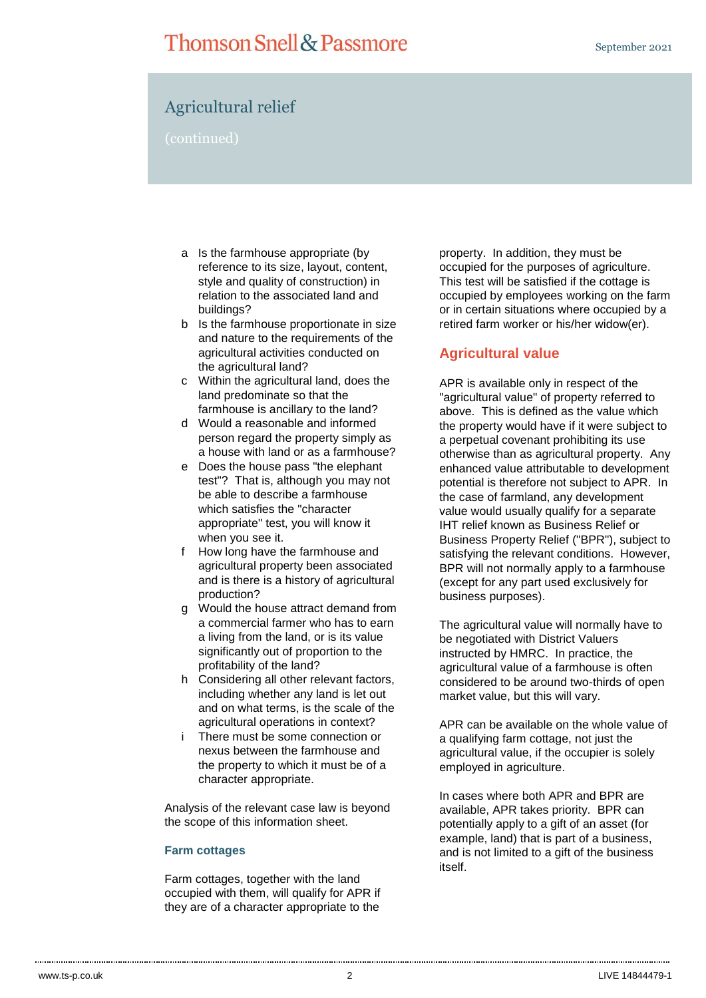# **Thomson Snell & Passmore**

### Agricultural relief

(continued)

- a Is the farmhouse appropriate (by reference to its size, layout, content, style and quality of construction) in relation to the associated land and buildings?
- b Is the farmhouse proportionate in size and nature to the requirements of the agricultural activities conducted on the agricultural land?
- c Within the agricultural land, does the land predominate so that the farmhouse is ancillary to the land?
- d Would a reasonable and informed person regard the property simply as a house with land or as a farmhouse?
- e Does the house pass "the elephant test"? That is, although you may not be able to describe a farmhouse which satisfies the "character appropriate" test, you will know it when you see it.
- f How long have the farmhouse and agricultural property been associated and is there is a history of agricultural production?
- g Would the house attract demand from a commercial farmer who has to earn a living from the land, or is its value significantly out of proportion to the profitability of the land?
- h Considering all other relevant factors, including whether any land is let out and on what terms, is the scale of the agricultural operations in context?
- i There must be some connection or nexus between the farmhouse and the property to which it must be of a character appropriate.

Analysis of the relevant case law is beyond the scope of this information sheet.

### **Farm cottages**

Farm cottages, together with the land occupied with them, will qualify for APR if they are of a character appropriate to the

property. In addition, they must be occupied for the purposes of agriculture. This test will be satisfied if the cottage is occupied by employees working on the farm or in certain situations where occupied by a retired farm worker or his/her widow(er).

### **Agricultural value**

APR is available only in respect of the "agricultural value" of property referred to above. This is defined as the value which the property would have if it were subject to a perpetual covenant prohibiting its use otherwise than as agricultural property. Any enhanced value attributable to development potential is therefore not subject to APR. In the case of farmland, any development value would usually qualify for a separate IHT relief known as Business Relief or Business Property Relief ("BPR"), subject to satisfying the relevant conditions. However, BPR will not normally apply to a farmhouse (except for any part used exclusively for business purposes).

The agricultural value will normally have to be negotiated with District Valuers instructed by HMRC. In practice, the agricultural value of a farmhouse is often considered to be around two-thirds of open market value, but this will vary.

APR can be available on the whole value of a qualifying farm cottage, not just the agricultural value, if the occupier is solely employed in agriculture.

In cases where both APR and BPR are available, APR takes priority. BPR can potentially apply to a gift of an asset (for example, land) that is part of a business, and is not limited to a gift of the business itself.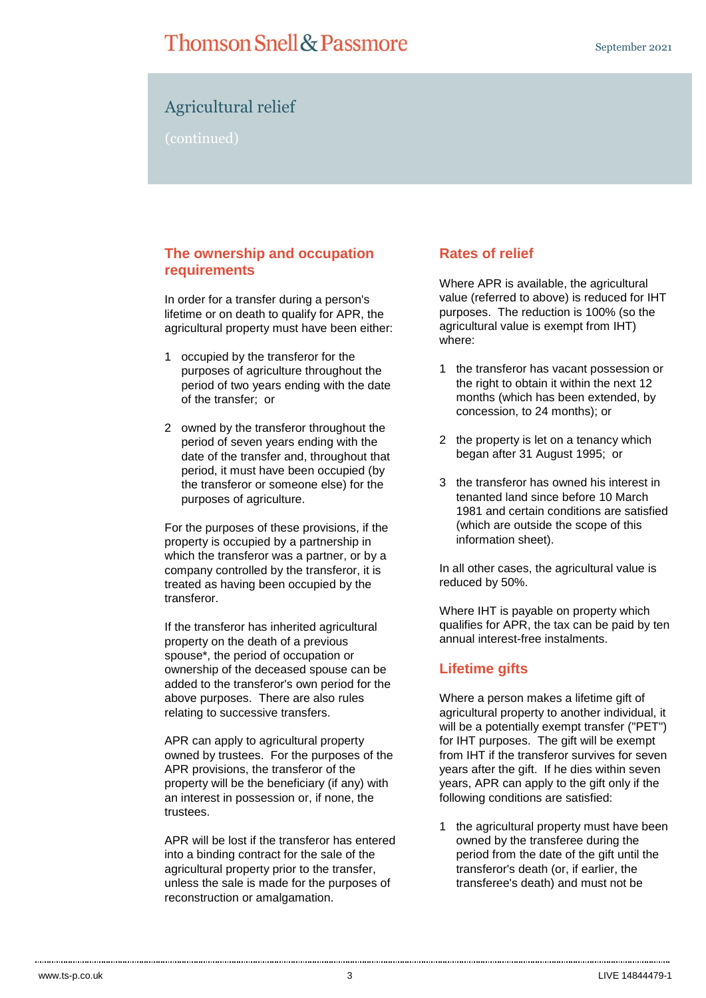## **Thomson Snell & Passmore**

### Agricultural relief

(continued)

### **The ownership and occupation requirements**

In order for a transfer during a person's lifetime or on death to qualify for APR, the agricultural property must have been either:

- 1 occupied by the transferor for the purposes of agriculture throughout the period of two years ending with the date of the transfer; or
- 2 owned by the transferor throughout the period of seven years ending with the date of the transfer and, throughout that period, it must have been occupied (by the transferor or someone else) for the purposes of agriculture.

For the purposes of these provisions, if the property is occupied by a partnership in which the transferor was a partner, or by a company controlled by the transferor, it is treated as having been occupied by the transferor.

If the transferor has inherited agricultural property on the death of a previous spouse\*, the period of occupation or ownership of the deceased spouse can be added to the transferor's own period for the above purposes. There are also rules relating to successive transfers.

APR can apply to agricultural property owned by trustees. For the purposes of the APR provisions, the transferor of the property will be the beneficiary (if any) with an interest in possession or, if none, the trustees.

APR will be lost if the transferor has entered into a binding contract for the sale of the agricultural property prior to the transfer, unless the sale is made for the purposes of reconstruction or amalgamation.

### **Rates of relief**

Where APR is available, the agricultural value (referred to above) is reduced for IHT purposes. The reduction is 100% (so the agricultural value is exempt from IHT) where:

- 1 the transferor has vacant possession or the right to obtain it within the next 12 months (which has been extended, by concession, to 24 months); or
- 2 the property is let on a tenancy which began after 31 August 1995; or
- 3 the transferor has owned his interest in tenanted land since before 10 March 1981 and certain conditions are satisfied (which are outside the scope of this information sheet).

In all other cases, the agricultural value is reduced by 50%.

Where IHT is payable on property which qualifies for APR, the tax can be paid by ten annual interest-free instalments.

### **Lifetime gifts**

Where a person makes a lifetime gift of agricultural property to another individual, it will be a potentially exempt transfer ("PET") for IHT purposes. The gift will be exempt from IHT if the transferor survives for seven years after the gift. If he dies within seven years, APR can apply to the gift only if the following conditions are satisfied:

1 the agricultural property must have been owned by the transferee during the period from the date of the gift until the transferor's death (or, if earlier, the transferee's death) and must not be